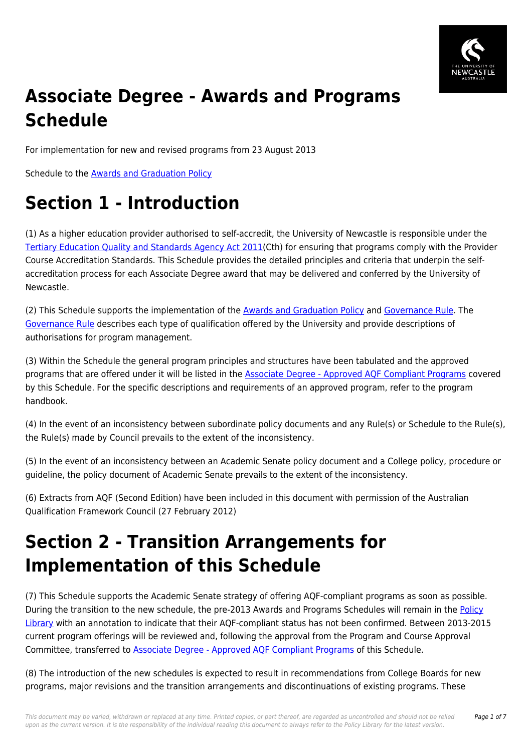

# **Associate Degree - Awards and Programs Schedule**

For implementation for new and revised programs from 23 August 2013

Schedule to the [Awards and Graduation Policy](https://policies.newcastle.edu.au/document/view-current.php?id=61)

## **Section 1 - Introduction**

(1) As a higher education provider authorised to self-accredit, the University of Newcastle is responsible under the [Tertiary Education Quality and Standards Agency Act 2011](https://policies.newcastle.edu.au/directory-summary.php?legislation=90)(Cth) for ensuring that programs comply with the Provider Course Accreditation Standards. This Schedule provides the detailed principles and criteria that underpin the selfaccreditation process for each Associate Degree award that may be delivered and conferred by the University of Newcastle.

(2) This Schedule supports the implementation of the [Awards and Graduation Policy](https://policies.newcastle.edu.au/document/view-current.php?id=61) and [Governance Rule](https://policies.newcastle.edu.au/document/view-current.php?id=152). The [Governance Rule](https://policies.newcastle.edu.au/document/view-current.php?id=152) describes each type of qualification offered by the University and provide descriptions of authorisations for program management.

(3) Within the Schedule the general program principles and structures have been tabulated and the approved programs that are offered under it will be listed in the **Associate Degree - Approved AQF Compliant Programs** covered by this Schedule. For the specific descriptions and requirements of an approved program, refer to the program handbook.

(4) In the event of an inconsistency between subordinate policy documents and any Rule(s) or Schedule to the Rule(s), the Rule(s) made by Council prevails to the extent of the inconsistency.

(5) In the event of an inconsistency between an Academic Senate policy document and a College policy, procedure or guideline, the policy document of Academic Senate prevails to the extent of the inconsistency.

(6) Extracts from AQF (Second Edition) have been included in this document with permission of the Australian Qualification Framework Council (27 February 2012)

## **Section 2 - Transition Arrangements for Implementation of this Schedule**

(7) This Schedule supports the Academic Senate strategy of offering AQF-compliant programs as soon as possible. During the transition to the new schedule, the pre-2013 Awards and Programs Schedules will remain in the [Policy](https://policies.newcastle.edu.au/download.php?id=1&version=2&associated) [Library](https://policies.newcastle.edu.au/download.php?id=1&version=2&associated) with an annotation to indicate that their AQF-compliant status has not been confirmed. Between 2013-2015 current program offerings will be reviewed and, following the approval from the Program and Course Approval Committee, transferred to [Associate Degree - Approved AQF Compliant Programs](https://policies.newcastle.edu.au/download.php?id=220&version=3&associated) of this Schedule.

(8) The introduction of the new schedules is expected to result in recommendations from College Boards for new programs, major revisions and the transition arrangements and discontinuations of existing programs. These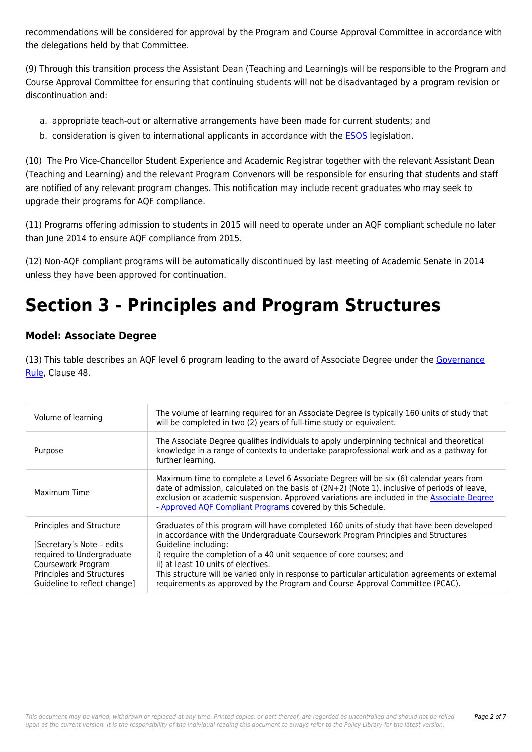recommendations will be considered for approval by the Program and Course Approval Committee in accordance with the delegations held by that Committee.

(9) Through this transition process the Assistant Dean (Teaching and Learning)s will be responsible to the Program and Course Approval Committee for ensuring that continuing students will not be disadvantaged by a program revision or discontinuation and:

- a. appropriate teach-out or alternative arrangements have been made for current students; and
- b. consideration is given to international applicants in accordance with the [ESOS](https://policies.newcastle.edu.au/directory-summary.php?legislation=12) legislation.

(10) The Pro Vice-Chancellor Student Experience and Academic Registrar together with the relevant Assistant Dean (Teaching and Learning) and the relevant Program Convenors will be responsible for ensuring that students and staff are notified of any relevant program changes. This notification may include recent graduates who may seek to upgrade their programs for AQF compliance.

(11) Programs offering admission to students in 2015 will need to operate under an AQF compliant schedule no later than June 2014 to ensure AQF compliance from 2015.

(12) Non-AQF compliant programs will be automatically discontinued by last meeting of Academic Senate in 2014 unless they have been approved for continuation.

### **Section 3 - Principles and Program Structures**

### **Model: Associate Degree**

(13) This table describes an AQF level 6 program leading to the award of Associate Degree under the [Governance](https://policies.newcastle.edu.au/document/view-current.php?id=152) [Rule](https://policies.newcastle.edu.au/document/view-current.php?id=152), Clause 48.

| Volume of learning                                                                                                                                                    | The volume of learning required for an Associate Degree is typically 160 units of study that<br>will be completed in two (2) years of full-time study or equivalent.                                                                                                                                                                                                                                                                                                                                       |
|-----------------------------------------------------------------------------------------------------------------------------------------------------------------------|------------------------------------------------------------------------------------------------------------------------------------------------------------------------------------------------------------------------------------------------------------------------------------------------------------------------------------------------------------------------------------------------------------------------------------------------------------------------------------------------------------|
| Purpose                                                                                                                                                               | The Associate Degree qualifies individuals to apply underpinning technical and theoretical<br>knowledge in a range of contexts to undertake paraprofessional work and as a pathway for<br>further learning.                                                                                                                                                                                                                                                                                                |
| Maximum Time                                                                                                                                                          | Maximum time to complete a Level 6 Associate Degree will be six (6) calendar years from<br>date of admission, calculated on the basis of $(2N+2)$ (Note 1), inclusive of periods of leave,<br>exclusion or academic suspension. Approved variations are included in the Associate Degree<br>- Approved AQF Compliant Programs covered by this Schedule.                                                                                                                                                    |
| Principles and Structure<br>[Secretary's Note - edits<br>required to Undergraduate<br>Coursework Program<br>Principles and Structures<br>Guideline to reflect change] | Graduates of this program will have completed 160 units of study that have been developed<br>in accordance with the Undergraduate Coursework Program Principles and Structures<br>Guideline including:<br>i) require the completion of a 40 unit sequence of core courses; and<br>ii) at least 10 units of electives.<br>This structure will be varied only in response to particular articulation agreements or external<br>requirements as approved by the Program and Course Approval Committee (PCAC). |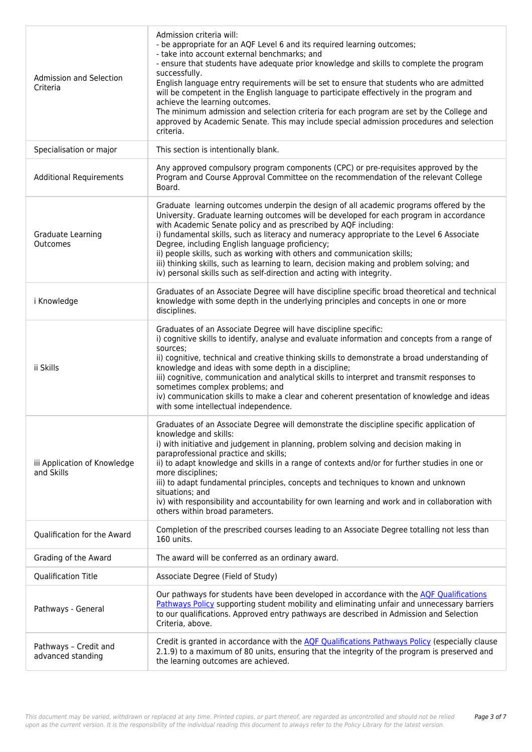| Admission and Selection<br>Criteria        | Admission criteria will:<br>- be appropriate for an AQF Level 6 and its required learning outcomes;<br>- take into account external benchmarks; and<br>- ensure that students have adequate prior knowledge and skills to complete the program<br>successfully.<br>English language entry requirements will be set to ensure that students who are admitted<br>will be competent in the English language to participate effectively in the program and<br>achieve the learning outcomes.<br>The minimum admission and selection criteria for each program are set by the College and<br>approved by Academic Senate. This may include special admission procedures and selection<br>criteria. |
|--------------------------------------------|-----------------------------------------------------------------------------------------------------------------------------------------------------------------------------------------------------------------------------------------------------------------------------------------------------------------------------------------------------------------------------------------------------------------------------------------------------------------------------------------------------------------------------------------------------------------------------------------------------------------------------------------------------------------------------------------------|
| Specialisation or major                    | This section is intentionally blank.                                                                                                                                                                                                                                                                                                                                                                                                                                                                                                                                                                                                                                                          |
| <b>Additional Requirements</b>             | Any approved compulsory program components (CPC) or pre-requisites approved by the<br>Program and Course Approval Committee on the recommendation of the relevant College<br>Board.                                                                                                                                                                                                                                                                                                                                                                                                                                                                                                           |
| Graduate Learning<br>Outcomes              | Graduate learning outcomes underpin the design of all academic programs offered by the<br>University. Graduate learning outcomes will be developed for each program in accordance<br>with Academic Senate policy and as prescribed by AQF including:<br>i) fundamental skills, such as literacy and numeracy appropriate to the Level 6 Associate<br>Degree, including English language proficiency;<br>ii) people skills, such as working with others and communication skills;<br>iii) thinking skills, such as learning to learn, decision making and problem solving; and<br>iv) personal skills such as self-direction and acting with integrity.                                        |
| i Knowledge                                | Graduates of an Associate Degree will have discipline specific broad theoretical and technical<br>knowledge with some depth in the underlying principles and concepts in one or more<br>disciplines.                                                                                                                                                                                                                                                                                                                                                                                                                                                                                          |
| ii Skills                                  | Graduates of an Associate Degree will have discipline specific:<br>i) cognitive skills to identify, analyse and evaluate information and concepts from a range of<br>sources;<br>ii) cognitive, technical and creative thinking skills to demonstrate a broad understanding of<br>knowledge and ideas with some depth in a discipline;<br>iii) cognitive, communication and analytical skills to interpret and transmit responses to<br>sometimes complex problems; and<br>iv) communication skills to make a clear and coherent presentation of knowledge and ideas<br>with some intellectual independence.                                                                                  |
| iii Application of Knowledge<br>and Skills | Graduates of an Associate Degree will demonstrate the discipline specific application of<br>knowledge and skills:<br>i) with initiative and judgement in planning, problem solving and decision making in<br>paraprofessional practice and skills;<br>ii) to adapt knowledge and skills in a range of contexts and/or for further studies in one or<br>more disciplines;<br>iii) to adapt fundamental principles, concepts and techniques to known and unknown<br>situations; and<br>iv) with responsibility and accountability for own learning and work and in collaboration with<br>others within broad parameters.                                                                        |
| Qualification for the Award                | Completion of the prescribed courses leading to an Associate Degree totalling not less than<br>160 units.                                                                                                                                                                                                                                                                                                                                                                                                                                                                                                                                                                                     |
| Grading of the Award                       | The award will be conferred as an ordinary award.                                                                                                                                                                                                                                                                                                                                                                                                                                                                                                                                                                                                                                             |
| <b>Qualification Title</b>                 | Associate Degree (Field of Study)                                                                                                                                                                                                                                                                                                                                                                                                                                                                                                                                                                                                                                                             |
| Pathways - General                         | Our pathways for students have been developed in accordance with the AQF Qualifications<br>Pathways Policy supporting student mobility and eliminating unfair and unnecessary barriers<br>to our qualifications. Approved entry pathways are described in Admission and Selection<br>Criteria, above.                                                                                                                                                                                                                                                                                                                                                                                         |
| Pathways - Credit and<br>advanced standing | Credit is granted in accordance with the AQF Qualifications Pathways Policy (especially clause<br>2.1.9) to a maximum of 80 units, ensuring that the integrity of the program is preserved and<br>the learning outcomes are achieved.                                                                                                                                                                                                                                                                                                                                                                                                                                                         |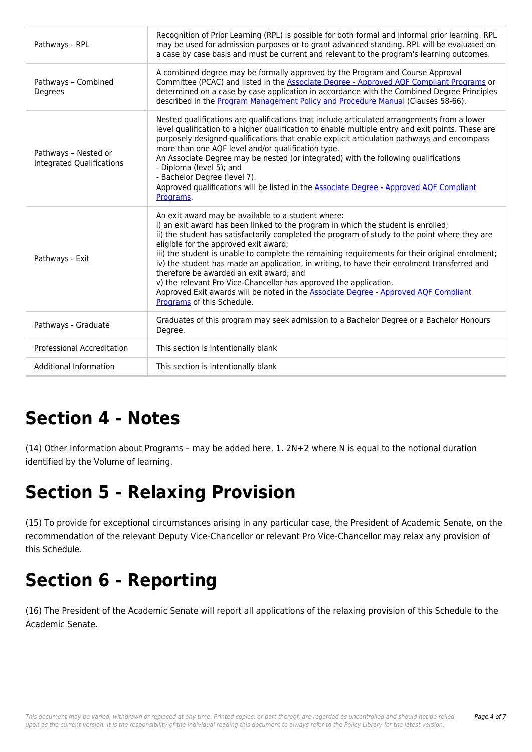| Pathways - RPL                                           | Recognition of Prior Learning (RPL) is possible for both formal and informal prior learning. RPL<br>may be used for admission purposes or to grant advanced standing. RPL will be evaluated on<br>a case by case basis and must be current and relevant to the program's learning outcomes.                                                                                                                                                                                                                                                                                                                                                                                                                               |
|----------------------------------------------------------|---------------------------------------------------------------------------------------------------------------------------------------------------------------------------------------------------------------------------------------------------------------------------------------------------------------------------------------------------------------------------------------------------------------------------------------------------------------------------------------------------------------------------------------------------------------------------------------------------------------------------------------------------------------------------------------------------------------------------|
| Pathways - Combined<br>Degrees                           | A combined degree may be formally approved by the Program and Course Approval<br>Committee (PCAC) and listed in the Associate Degree - Approved AQF Compliant Programs or<br>determined on a case by case application in accordance with the Combined Degree Principles<br>described in the Program Management Policy and Procedure Manual (Clauses 58-66).                                                                                                                                                                                                                                                                                                                                                               |
| Pathways - Nested or<br><b>Integrated Qualifications</b> | Nested qualifications are qualifications that include articulated arrangements from a lower<br>level qualification to a higher qualification to enable multiple entry and exit points. These are<br>purposely designed qualifications that enable explicit articulation pathways and encompass<br>more than one AQF level and/or qualification type.<br>An Associate Degree may be nested (or integrated) with the following qualifications<br>- Diploma (level 5); and<br>- Bachelor Degree (level 7).<br>Approved qualifications will be listed in the Associate Degree - Approved AQF Compliant<br>Programs.                                                                                                           |
| Pathways - Exit                                          | An exit award may be available to a student where:<br>i) an exit award has been linked to the program in which the student is enrolled;<br>ii) the student has satisfactorily completed the program of study to the point where they are<br>eligible for the approved exit award;<br>iii) the student is unable to complete the remaining requirements for their original enrolment;<br>iv) the student has made an application, in writing, to have their enrolment transferred and<br>therefore be awarded an exit award; and<br>v) the relevant Pro Vice-Chancellor has approved the application.<br>Approved Exit awards will be noted in the Associate Degree - Approved AQF Compliant<br>Programs of this Schedule. |
| Pathways - Graduate                                      | Graduates of this program may seek admission to a Bachelor Degree or a Bachelor Honours<br>Degree.                                                                                                                                                                                                                                                                                                                                                                                                                                                                                                                                                                                                                        |
| <b>Professional Accreditation</b>                        | This section is intentionally blank                                                                                                                                                                                                                                                                                                                                                                                                                                                                                                                                                                                                                                                                                       |
| <b>Additional Information</b>                            | This section is intentionally blank                                                                                                                                                                                                                                                                                                                                                                                                                                                                                                                                                                                                                                                                                       |

## **Section 4 - Notes**

(14) Other Information about Programs – may be added here. 1. 2N+2 where N is equal to the notional duration identified by the Volume of learning.

### **Section 5 - Relaxing Provision**

(15) To provide for exceptional circumstances arising in any particular case, the President of Academic Senate, on the recommendation of the relevant Deputy Vice-Chancellor or relevant Pro Vice-Chancellor may relax any provision of this Schedule.

# **Section 6 - Reporting**

(16) The President of the Academic Senate will report all applications of the relaxing provision of this Schedule to the Academic Senate.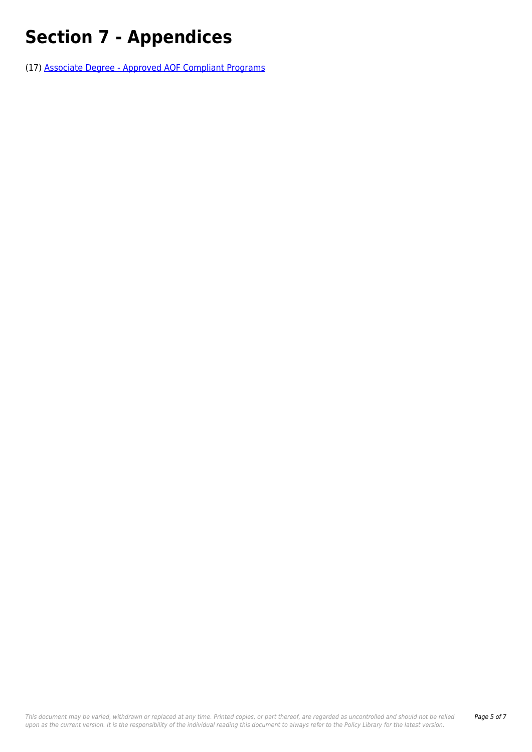# **Section 7 - Appendices**

(17) [Associate Degree - Approved AQF Compliant Programs](https://policies.newcastle.edu.au/download.php?id=220&version=3&associated)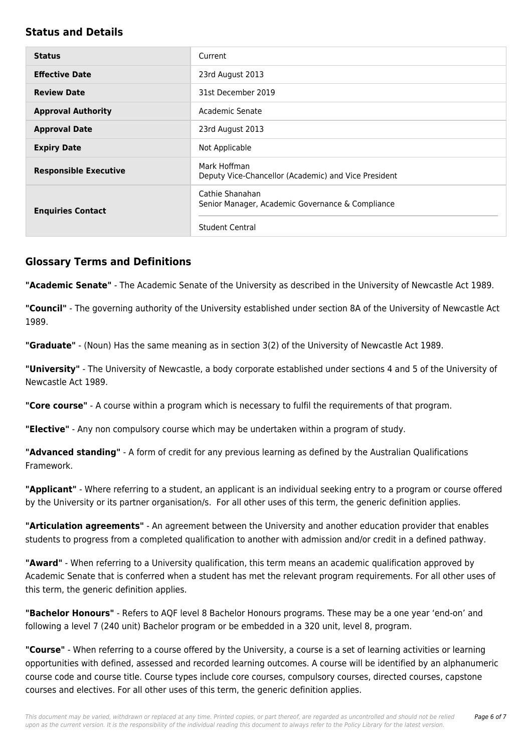#### **Status and Details**

| <b>Status</b>                | Current                                                              |
|------------------------------|----------------------------------------------------------------------|
| <b>Effective Date</b>        | 23rd August 2013                                                     |
| <b>Review Date</b>           | 31st December 2019                                                   |
| <b>Approval Authority</b>    | Academic Senate                                                      |
| <b>Approval Date</b>         | 23rd August 2013                                                     |
| <b>Expiry Date</b>           | Not Applicable                                                       |
| <b>Responsible Executive</b> | Mark Hoffman<br>Deputy Vice-Chancellor (Academic) and Vice President |
| <b>Enquiries Contact</b>     | Cathie Shanahan<br>Senior Manager, Academic Governance & Compliance  |
|                              | <b>Student Central</b>                                               |

#### **Glossary Terms and Definitions**

**"Academic Senate"** - The Academic Senate of the University as described in the University of Newcastle Act 1989.

**"Council"** - The governing authority of the University established under section 8A of the University of Newcastle Act 1989.

**"Graduate"** - (Noun) Has the same meaning as in section 3(2) of the University of Newcastle Act 1989.

**"University"** - The University of Newcastle, a body corporate established under sections 4 and 5 of the University of Newcastle Act 1989.

**"Core course"** - A course within a program which is necessary to fulfil the requirements of that program.

**"Elective"** - Any non compulsory course which may be undertaken within a program of study.

**"Advanced standing"** - A form of credit for any previous learning as defined by the Australian Qualifications Framework.

**"Applicant"** - Where referring to a student, an applicant is an individual seeking entry to a program or course offered by the University or its partner organisation/s. For all other uses of this term, the generic definition applies.

**"Articulation agreements"** - An agreement between the University and another education provider that enables students to progress from a completed qualification to another with admission and/or credit in a defined pathway.

**"Award"** - When referring to a University qualification, this term means an academic qualification approved by Academic Senate that is conferred when a student has met the relevant program requirements. For all other uses of this term, the generic definition applies.

**"Bachelor Honours"** - Refers to AQF level 8 Bachelor Honours programs. These may be a one year 'end-on' and following a level 7 (240 unit) Bachelor program or be embedded in a 320 unit, level 8, program.

**"Course"** - When referring to a course offered by the University, a course is a set of learning activities or learning opportunities with defined, assessed and recorded learning outcomes. A course will be identified by an alphanumeric course code and course title. Course types include core courses, compulsory courses, directed courses, capstone courses and electives. For all other uses of this term, the generic definition applies.